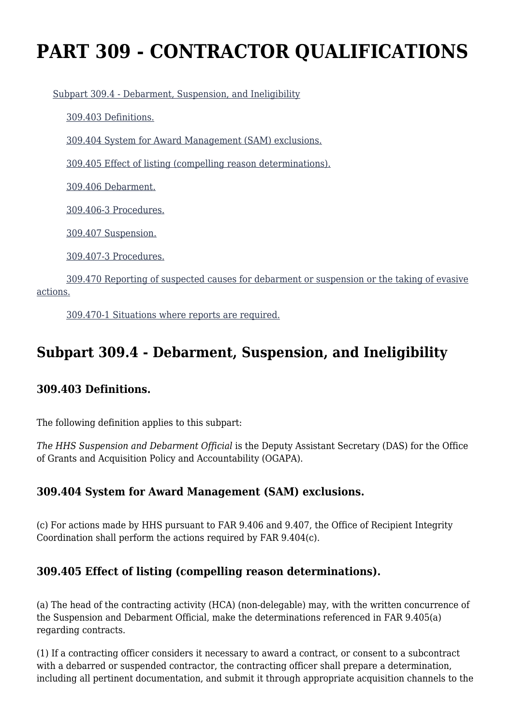# **PART 309 - CONTRACTOR QUALIFICATIONS**

[Subpart 309.4 - Debarment, Suspension, and Ineligibility](https://origin-www.acquisition.gov/%5Brp:link:hhsar-part-309%5D#Subpart_309_4_T48_4012101)

[309.403 Definitions.](https://origin-www.acquisition.gov/%5Brp:link:hhsar-part-309%5D#Section_309_403_T48_401210111)

[309.404 System for Award Management \(SAM\) exclusions.](https://origin-www.acquisition.gov/%5Brp:link:hhsar-part-309%5D#Section_309_404_T48_401210112)

[309.405 Effect of listing \(compelling reason determinations\).](https://origin-www.acquisition.gov/%5Brp:link:hhsar-part-309%5D#Section_309_405_T48_401210113)

[309.406 Debarment.](https://origin-www.acquisition.gov/%5Brp:link:hhsar-part-309%5D#Section_309_406_T48_401210114)

[309.406-3 Procedures.](https://origin-www.acquisition.gov/%5Brp:link:hhsar-part-309%5D#Section_309_406_3_T48_401210115)

[309.407 Suspension.](https://origin-www.acquisition.gov/%5Brp:link:hhsar-part-309%5D#Section_309_407_T48_401210116)

[309.407-3 Procedures.](https://origin-www.acquisition.gov/%5Brp:link:hhsar-part-309%5D#Section_309_407_3_T48_401210117)

 [309.470 Reporting of suspected causes for debarment or suspension or the taking of evasive](https://origin-www.acquisition.gov/%5Brp:link:hhsar-part-309%5D#Section_309_470_T48_401210118) [actions.](https://origin-www.acquisition.gov/%5Brp:link:hhsar-part-309%5D#Section_309_470_T48_401210118)

[309.470-1 Situations where reports are required.](https://origin-www.acquisition.gov/%5Brp:link:hhsar-part-309%5D#Section_309_470_1_T48_401210119)

## **Subpart 309.4 - Debarment, Suspension, and Ineligibility**

#### **309.403 Definitions.**

The following definition applies to this subpart:

*The HHS Suspension and Debarment Official* is the Deputy Assistant Secretary (DAS) for the Office of Grants and Acquisition Policy and Accountability (OGAPA).

#### **309.404 System for Award Management (SAM) exclusions.**

(c) For actions made by HHS pursuant to FAR 9.406 and 9.407, the Office of Recipient Integrity Coordination shall perform the actions required by FAR 9.404(c).

#### **309.405 Effect of listing (compelling reason determinations).**

(a) The head of the contracting activity (HCA) (non-delegable) may, with the written concurrence of the Suspension and Debarment Official, make the determinations referenced in FAR 9.405(a) regarding contracts.

(1) If a contracting officer considers it necessary to award a contract, or consent to a subcontract with a debarred or suspended contractor, the contracting officer shall prepare a determination, including all pertinent documentation, and submit it through appropriate acquisition channels to the